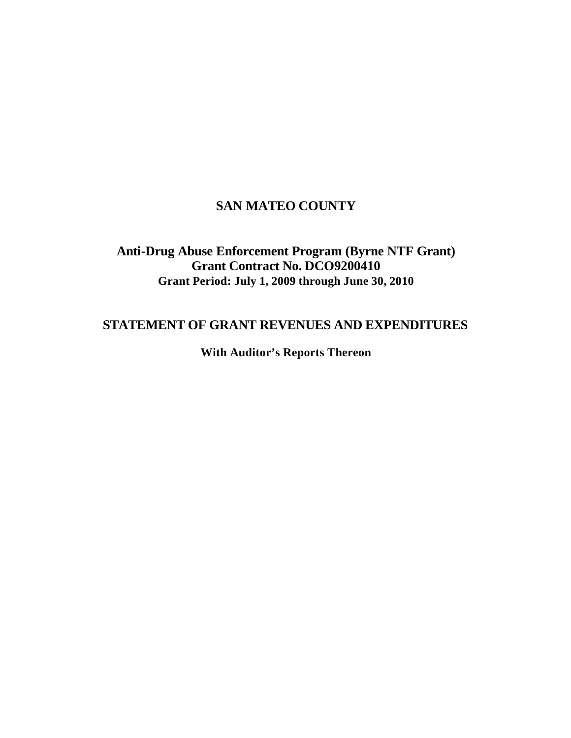# **SAN MATEO COUNTY**

# **Anti-Drug Abuse Enforcement Program (Byrne NTF Grant) Grant Contract No. DCO9200410 Grant Period: July 1, 2009 through June 30, 2010**

# **STATEMENT OF GRANT REVENUES AND EXPENDITURES**

**With Auditor's Reports Thereon**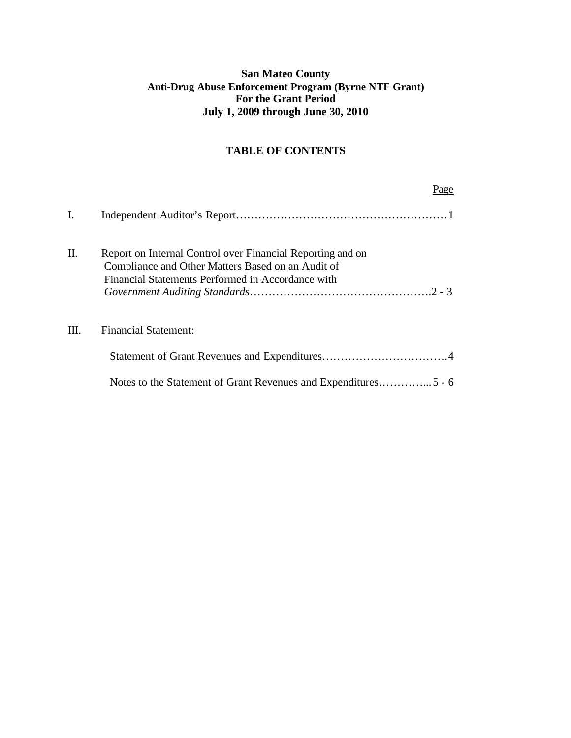## **San Mateo County Anti-Drug Abuse Enforcement Program (Byrne NTF Grant) For the Grant Period July 1, 2009 through June 30, 2010**

## **TABLE OF CONTENTS**

|      |                                                                                                                                                                      | 'age |
|------|----------------------------------------------------------------------------------------------------------------------------------------------------------------------|------|
| Ι.   |                                                                                                                                                                      |      |
| Π.   | Report on Internal Control over Financial Reporting and on<br>Compliance and Other Matters Based on an Audit of<br>Financial Statements Performed in Accordance with |      |
| III. | <b>Financial Statement:</b>                                                                                                                                          |      |
|      |                                                                                                                                                                      |      |
|      |                                                                                                                                                                      |      |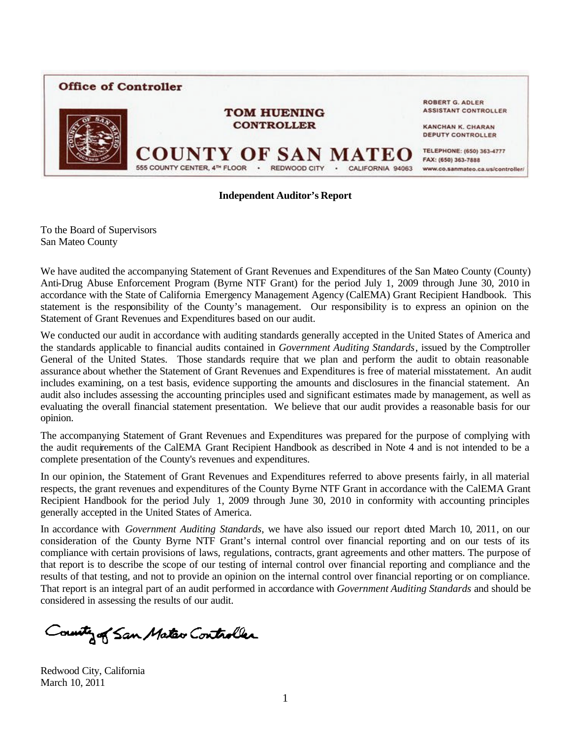

#### **Independent Auditor's Report**

To the Board of Supervisors San Mateo County

We have audited the accompanying Statement of Grant Revenues and Expenditures of the San Mateo County (County) Anti-Drug Abuse Enforcement Program (Byrne NTF Grant) for the period July 1, 2009 through June 30, 2010 in accordance with the State of California Emergency Management Agency (CalEMA) Grant Recipient Handbook. This statement is the responsibility of the County's management. Our responsibility is to express an opinion on the Statement of Grant Revenues and Expenditures based on our audit.

We conducted our audit in accordance with auditing standards generally accepted in the United States of America and the standards applicable to financial audits contained in *Government Auditing Standards*, issued by the Comptroller General of the United States. Those standards require that we plan and perform the audit to obtain reasonable assurance about whether the Statement of Grant Revenues and Expenditures is free of material misstatement. An audit includes examining, on a test basis, evidence supporting the amounts and disclosures in the financial statement. An audit also includes assessing the accounting principles used and significant estimates made by management, as well as evaluating the overall financial statement presentation. We believe that our audit provides a reasonable basis for our opinion.

The accompanying Statement of Grant Revenues and Expenditures was prepared for the purpose of complying with the audit requirements of the CalEMA Grant Recipient Handbook as described in Note 4 and is not intended to be a complete presentation of the County's revenues and expenditures.

In our opinion, the Statement of Grant Revenues and Expenditures referred to above presents fairly, in all material respects, the grant revenues and expenditures of the County Byrne NTF Grant in accordance with the CalEMA Grant Recipient Handbook for the period July 1, 2009 through June 30, 2010 in conformity with accounting principles generally accepted in the United States of America.

In accordance with *Government Auditing Standards*, we have also issued our report dated March 10, 2011, on our consideration of the County Byrne NTF Grant's internal control over financial reporting and on our tests of its compliance with certain provisions of laws, regulations, contracts, grant agreements and other matters. The purpose of that report is to describe the scope of our testing of internal control over financial reporting and compliance and the results of that testing, and not to provide an opinion on the internal control over financial reporting or on compliance. That report is an integral part of an audit performed in accordance with *Government Auditing Standards* and should be considered in assessing the results of our audit.

County of San Mater Controller

Redwood City, California March 10, 2011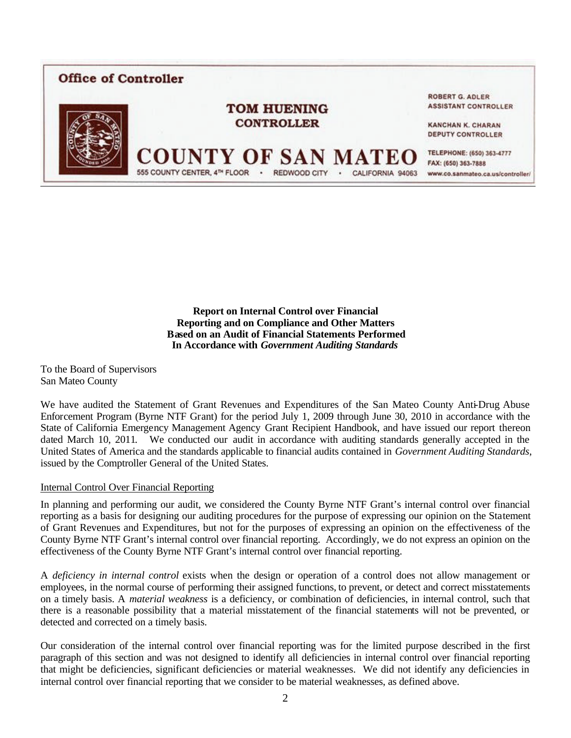

**Report on Internal Control over Financial Reporting and on Compliance and Other Matters Based on an Audit of Financial Statements Performed In Accordance with** *Government Auditing Standards*

To the Board of Supervisors San Mateo County

We have audited the Statement of Grant Revenues and Expenditures of the San Mateo County Anti-Drug Abuse Enforcement Program (Byrne NTF Grant) for the period July 1, 2009 through June 30, 2010 in accordance with the State of California Emergency Management Agency Grant Recipient Handbook, and have issued our report thereon dated March 10, 2011. We conducted our audit in accordance with auditing standards generally accepted in the United States of America and the standards applicable to financial audits contained in *Government Auditing Standards*, issued by the Comptroller General of the United States.

#### Internal Control Over Financial Reporting

In planning and performing our audit, we considered the County Byrne NTF Grant's internal control over financial reporting as a basis for designing our auditing procedures for the purpose of expressing our opinion on the Statement of Grant Revenues and Expenditures, but not for the purposes of expressing an opinion on the effectiveness of the County Byrne NTF Grant's internal control over financial reporting. Accordingly, we do not express an opinion on the effectiveness of the County Byrne NTF Grant's internal control over financial reporting.

A *deficiency in internal control* exists when the design or operation of a control does not allow management or employees, in the normal course of performing their assigned functions, to prevent, or detect and correct misstatements on a timely basis. A *material weakness* is a deficiency, or combination of deficiencies, in internal control, such that there is a reasonable possibility that a material misstatement of the financial statements will not be prevented, or detected and corrected on a timely basis.

Our consideration of the internal control over financial reporting was for the limited purpose described in the first paragraph of this section and was not designed to identify all deficiencies in internal control over financial reporting that might be deficiencies, significant deficiencies or material weaknesses. We did not identify any deficiencies in internal control over financial reporting that we consider to be material weaknesses, as defined above.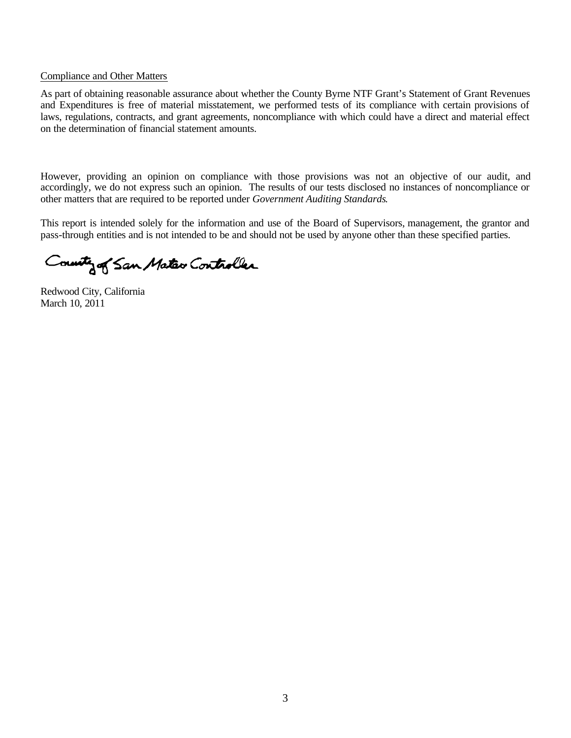#### Compliance and Other Matters

As part of obtaining reasonable assurance about whether the County Byrne NTF Grant's Statement of Grant Revenues and Expenditures is free of material misstatement, we performed tests of its compliance with certain provisions of laws, regulations, contracts, and grant agreements, noncompliance with which could have a direct and material effect on the determination of financial statement amounts.

However, providing an opinion on compliance with those provisions was not an objective of our audit, and accordingly, we do not express such an opinion. The results of our tests disclosed no instances of noncompliance or other matters that are required to be reported under *Government Auditing Standards*.

This report is intended solely for the information and use of the Board of Supervisors, management, the grantor and pass-through entities and is not intended to be and should not be used by anyone other than these specified parties.

County of San Mateo Controller

Redwood City, California March 10, 2011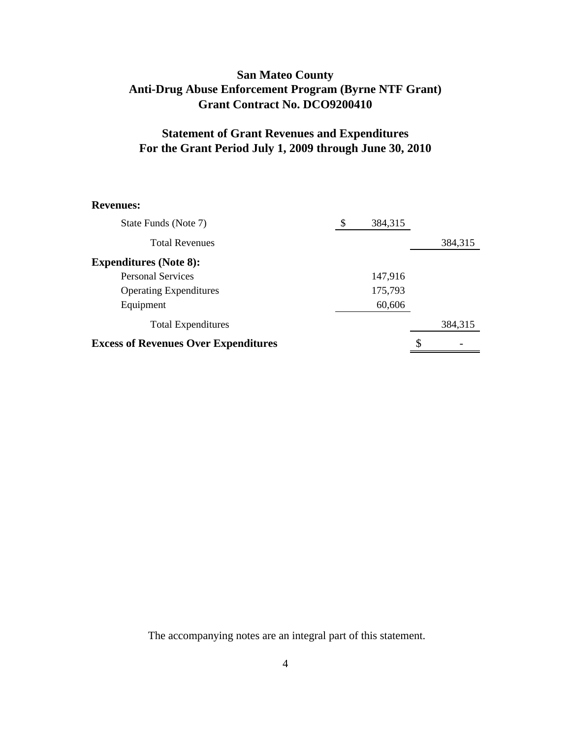## **San Mateo County Anti-Drug Abuse Enforcement Program (Byrne NTF Grant) Grant Contract No. DCO9200410**

## **Statement of Grant Revenues and Expenditures For the Grant Period July 1, 2009 through June 30, 2010**

#### **Revenues:**

| <b>Excess of Revenues Over Expenditures</b> |    |         | \$ |         |
|---------------------------------------------|----|---------|----|---------|
| <b>Total Expenditures</b>                   |    |         |    | 384,315 |
| Equipment                                   |    | 60,606  |    |         |
| <b>Operating Expenditures</b>               |    | 175,793 |    |         |
| <b>Personal Services</b>                    |    | 147,916 |    |         |
| <b>Expenditures (Note 8):</b>               |    |         |    |         |
| <b>Total Revenues</b>                       |    |         |    | 384,315 |
| State Funds (Note 7)                        | \$ | 384,315 |    |         |

The accompanying notes are an integral part of this statement.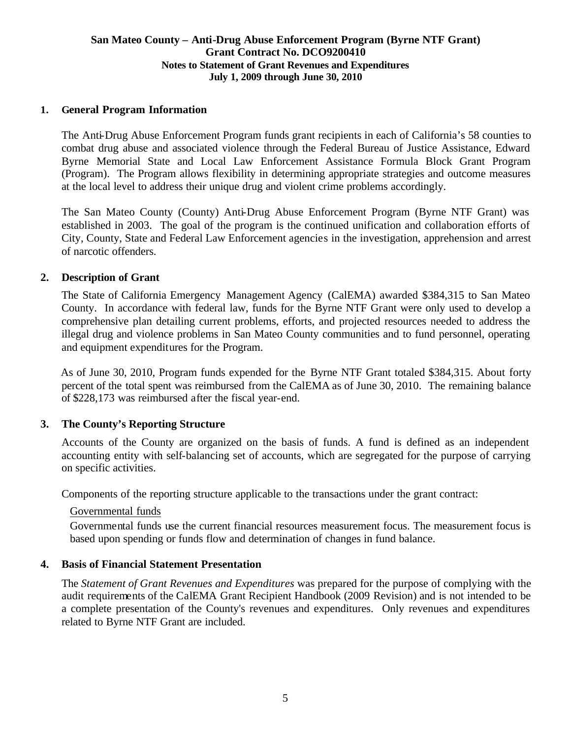#### **San Mateo County – Anti-Drug Abuse Enforcement Program (Byrne NTF Grant) Grant Contract No. DCO9200410 Notes to Statement of Grant Revenues and Expenditures July 1, 2009 through June 30, 2010**

### **1. General Program Information**

The Anti-Drug Abuse Enforcement Program funds grant recipients in each of California's 58 counties to combat drug abuse and associated violence through the Federal Bureau of Justice Assistance, Edward Byrne Memorial State and Local Law Enforcement Assistance Formula Block Grant Program (Program). The Program allows flexibility in determining appropriate strategies and outcome measures at the local level to address their unique drug and violent crime problems accordingly.

The San Mateo County (County) Anti-Drug Abuse Enforcement Program (Byrne NTF Grant) was established in 2003. The goal of the program is the continued unification and collaboration efforts of City, County, State and Federal Law Enforcement agencies in the investigation, apprehension and arrest of narcotic offenders.

### **2. Description of Grant**

The State of California Emergency Management Agency (CalEMA) awarded \$384,315 to San Mateo County. In accordance with federal law, funds for the Byrne NTF Grant were only used to develop a comprehensive plan detailing current problems, efforts, and projected resources needed to address the illegal drug and violence problems in San Mateo County communities and to fund personnel, operating and equipment expenditures for the Program.

 As of June 30, 2010, Program funds expended for the Byrne NTF Grant totaled \$384,315. About forty percent of the total spent was reimbursed from the CalEMA as of June 30, 2010. The remaining balance of \$228,173 was reimbursed after the fiscal year-end.

#### **3. The County's Reporting Structure**

Accounts of the County are organized on the basis of funds. A fund is defined as an independent accounting entity with self-balancing set of accounts, which are segregated for the purpose of carrying on specific activities.

Components of the reporting structure applicable to the transactions under the grant contract:

#### Governmental funds

Governmental funds use the current financial resources measurement focus. The measurement focus is based upon spending or funds flow and determination of changes in fund balance.

#### **4. Basis of Financial Statement Presentation**

The *Statement of Grant Revenues and Expenditures* was prepared for the purpose of complying with the audit requirements of the CalEMA Grant Recipient Handbook (2009 Revision) and is not intended to be a complete presentation of the County's revenues and expenditures. Only revenues and expenditures related to Byrne NTF Grant are included.